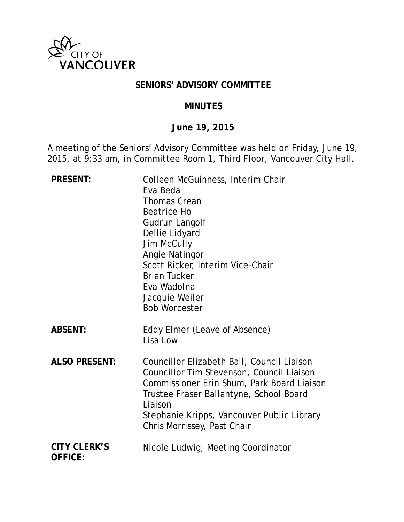

## **SENIORS' ADVISORY COMMITTEE**

#### **MINUTES**

#### **June 19, 2015**

A meeting of the Seniors' Advisory Committee was held on Friday, June 19, 2015, at 9:33 am, in Committee Room 1, Third Floor, Vancouver City Hall.

| <b>PRESENT:</b>                       | Colleen McGuinness, Interim Chair<br>Eva Beda<br><b>Thomas Crean</b><br>Beatrice Ho<br>Gudrun Langolf<br>Dellie Lidyard<br><b>Jim McCully</b><br>Angie Natingor<br>Scott Ricker, Interim Vice-Chair<br><b>Brian Tucker</b><br>Eva Wadolna<br>Jacquie Weiler<br><b>Bob Worcester</b> |
|---------------------------------------|-------------------------------------------------------------------------------------------------------------------------------------------------------------------------------------------------------------------------------------------------------------------------------------|
| <b>ABSENT:</b>                        | Eddy Elmer (Leave of Absence)<br>Lisa Low                                                                                                                                                                                                                                           |
| <b>ALSO PRESENT:</b>                  | Councillor Elizabeth Ball, Council Liaison<br>Councillor Tim Stevenson, Council Liaison<br>Commissioner Erin Shum, Park Board Liaison<br>Trustee Fraser Ballantyne, School Board<br>Liaison<br>Stephanie Kripps, Vancouver Public Library<br>Chris Morrissey, Past Chair            |
| <b>CITY CLERK'S</b><br><b>OFFICE:</b> | Nicole Ludwig, Meeting Coordinator                                                                                                                                                                                                                                                  |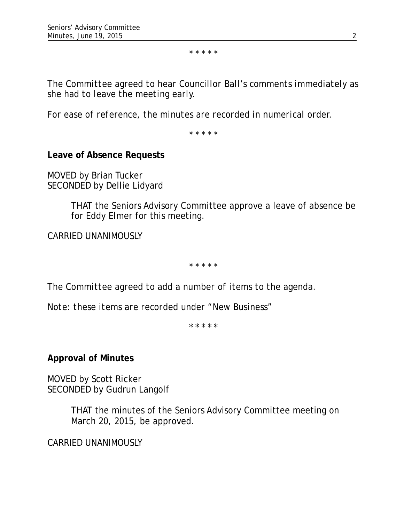\* \* \* \* \*

*The Committee agreed to hear Councillor Ball's comments immediately as she had to leave the meeting early.*

*For ease of reference, the minutes are recorded in numerical order.*

\* \* \* \* \*

**Leave of Absence Requests**

MOVED by Brian Tucker SECONDED by Dellie Lidyard

> THAT the Seniors Advisory Committee approve a leave of absence be for Eddy Elmer for this meeting.

CARRIED UNANIMOUSLY

\* \* \* \* \*

*The Committee agreed to add a number of items to the agenda.*

*Note: these items are recorded under "New Business"*

*\* \* \* \* \**

**Approval of Minutes**

MOVED by Scott Ricker SECONDED by Gudrun Langolf

> THAT the minutes of the Seniors Advisory Committee meeting on March 20, 2015, be approved.

CARRIED UNANIMOUSLY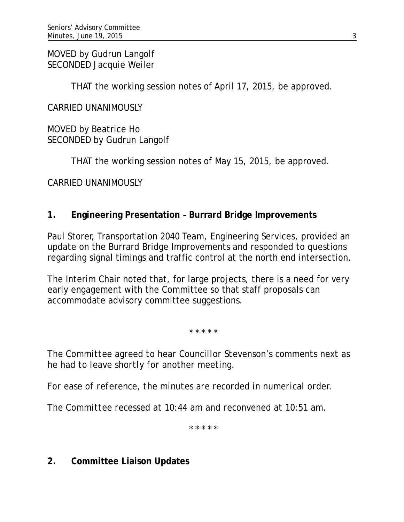MOVED by Gudrun Langolf SECONDED Jacquie Weiler

THAT the working session notes of April 17, 2015, be approved.

CARRIED UNANIMOUSLY

MOVED by Beatrice Ho SECONDED by Gudrun Langolf

THAT the working session notes of May 15, 2015, be approved.

CARRIED UNANIMOUSLY

# **1. Engineering Presentation – Burrard Bridge Improvements**

Paul Storer, Transportation 2040 Team, Engineering Services, provided an update on the Burrard Bridge Improvements and responded to questions regarding signal timings and traffic control at the north end intersection.

The Interim Chair noted that, for large projects, there is a need for very early engagement with the Committee so that staff proposals can accommodate advisory committee suggestions.

\* \* \* \* \*

*The Committee agreed to hear Councillor Stevenson's comments next as he had to leave shortly for another meeting.*

*For ease of reference, the minutes are recorded in numerical order.*

*The Committee recessed at 10:44 am and reconvened at 10:51 am.*

*\* \* \* \* \**

**2. Committee Liaison Updates**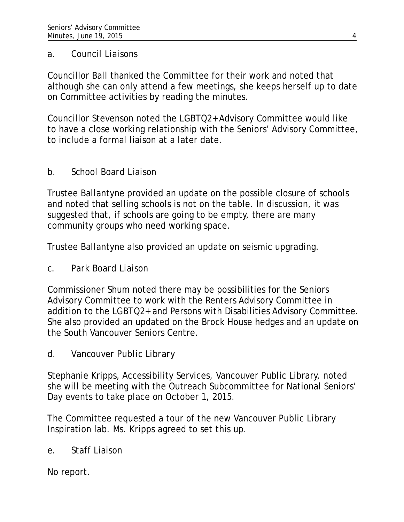#### *a. Council Liaisons*

Councillor Ball thanked the Committee for their work and noted that although she can only attend a few meetings, she keeps herself up to date on Committee activities by reading the minutes.

Councillor Stevenson noted the LGBTQ2+ Advisory Committee would like to have a close working relationship with the Seniors' Advisory Committee, to include a formal liaison at a later date.

# *b. School Board Liaison*

Trustee Ballantyne provided an update on the possible closure of schools and noted that selling schools is not on the table. In discussion, it was suggested that, if schools are going to be empty, there are many community groups who need working space.

Trustee Ballantyne also provided an update on seismic upgrading.

# *c. Park Board Liaison*

Commissioner Shum noted there may be possibilities for the Seniors Advisory Committee to work with the Renters Advisory Committee in addition to the LGBTQ2+ and Persons with Disabilities Advisory Committee. She also provided an updated on the Brock House hedges and an update on the South Vancouver Seniors Centre.

*d. Vancouver Public Library*

Stephanie Kripps, Accessibility Services, Vancouver Public Library, noted she will be meeting with the Outreach Subcommittee for National Seniors' Day events to take place on October 1, 2015.

The Committee requested a tour of the new Vancouver Public Library Inspiration lab. Ms. Kripps agreed to set this up.

# e. Staff Liaison

No report.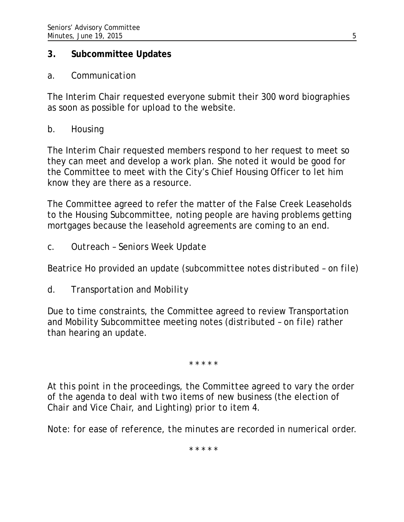### **3. Subcommittee Updates**

#### *a. Communication*

The Interim Chair requested everyone submit their 300 word biographies as soon as possible for upload to the website.

## *b. Housing*

The Interim Chair requested members respond to her request to meet so they can meet and develop a work plan. She noted it would be good for the Committee to meet with the City's Chief Housing Officer to let him know they are there as a resource.

The Committee agreed to refer the matter of the False Creek Leaseholds to the Housing Subcommittee, noting people are having problems getting mortgages because the leasehold agreements are coming to an end.

*c. Outreach – Seniors Week Update*

Beatrice Ho provided an update (*subcommittee notes distributed – on file*)

*d. Transportation and Mobility*

Due to time constraints, the Committee agreed to review Transportation and Mobility Subcommittee meeting notes (*distributed – on file*) rather than hearing an update.

\* \* \* \* \*

*At this point in the proceedings, the Committee agreed to vary the order of the agenda to deal with two items of new business (the election of Chair and Vice Chair, and Lighting) prior to item 4.*

*Note: for ease of reference, the minutes are recorded in numerical order.*

*\* \* \* \* \**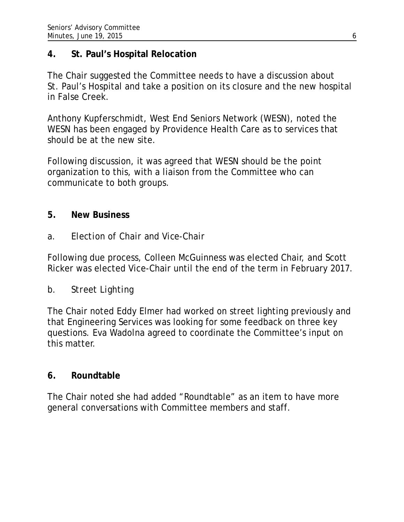## **4. St. Paul's Hospital Relocation**

The Chair suggested the Committee needs to have a discussion about St. Paul's Hospital and take a position on its closure and the new hospital in False Creek.

Anthony Kupferschmidt, West End Seniors Network (WESN), noted the WESN has been engaged by Providence Health Care as to services that should be at the new site.

Following discussion, it was agreed that WESN should be the point organization to this, with a liaison from the Committee who can communicate to both groups.

## **5. New Business**

## *a. Election of Chair and Vice-Chair*

Following due process, Colleen McGuinness was elected Chair, and Scott Ricker was elected Vice-Chair until the end of the term in February 2017.

### *b. Street Lighting*

The Chair noted Eddy Elmer had worked on street lighting previously and that Engineering Services was looking for some feedback on three key questions. Eva Wadolna agreed to coordinate the Committee's input on this matter.

### **6. Roundtable**

The Chair noted she had added "Roundtable" as an item to have more general conversations with Committee members and staff.